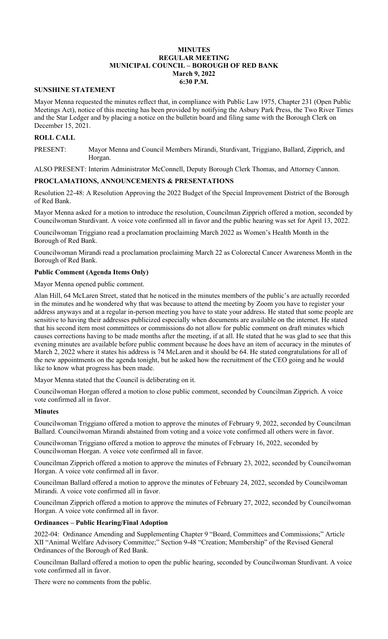### **MINUTES REGULAR MEETING MUNICIPAL COUNCIL – BOROUGH OF RED BANK March 9, 2022 6:30 P.M.**

## **SUNSHINE STATEMENT**

Mayor Menna requested the minutes reflect that, in compliance with Public Law 1975, Chapter 231 (Open Public Meetings Act), notice of this meeting has been provided by notifying the Asbury Park Press, the Two River Times and the Star Ledger and by placing a notice on the bulletin board and filing same with the Borough Clerk on December 15, 2021.

## **ROLL CALL**

PRESENT: Mayor Menna and Council Members Mirandi, Sturdivant, Triggiano, Ballard, Zipprich, and Horgan.

ALSO PRESENT: Interim Administrator McConnell, Deputy Borough Clerk Thomas, and Attorney Cannon.

### **PROCLAMATIONS, ANNOUNCEMENTS & PRESENTATIONS**

Resolution 22-48: A Resolution Approving the 2022 Budget of the Special Improvement District of the Borough of Red Bank.

Mayor Menna asked for a motion to introduce the resolution, Councilman Zipprich offered a motion, seconded by Councilwoman Sturdivant. A voice vote confirmed all in favor and the public hearing was set for April 13, 2022.

Councilwoman Triggiano read a proclamation proclaiming March 2022 as Women's Health Month in the Borough of Red Bank.

Councilwoman Mirandi read a proclamation proclaiming March 22 as Colorectal Cancer Awareness Month in the Borough of Red Bank.

### **Public Comment (Agenda Items Only)**

Mayor Menna opened public comment.

Alan Hill, 64 McLaren Street, stated that he noticed in the minutes members of the public's are actually recorded in the minutes and he wondered why that was because to attend the meeting by Zoom you have to register your address anyways and at a regular in-person meeting you have to state your address. He stated that some people are sensitive to having their addresses publicized especially when documents are available on the internet. He stated that his second item most committees or commissions do not allow for public comment on draft minutes which causes corrections having to be made months after the meeting, if at all. He stated that he was glad to see that this evening minutes are available before public comment because he does have an item of accuracy in the minutes of March 2, 2022 where it states his address is 74 McLaren and it should be 64. He stated congratulations for all of the new appointments on the agenda tonight, but he asked how the recruitment of the CEO going and he would like to know what progress has been made.

Mayor Menna stated that the Council is deliberating on it.

Councilwoman Horgan offered a motion to close public comment, seconded by Councilman Zipprich. A voice vote confirmed all in favor.

### **Minutes**

Councilwoman Triggiano offered a motion to approve the minutes of February 9, 2022, seconded by Councilman Ballard. Councilwoman Mirandi abstained from voting and a voice vote confirmed all others were in favor.

Councilwoman Triggiano offered a motion to approve the minutes of February 16, 2022, seconded by Councilwoman Horgan. A voice vote confirmed all in favor.

Councilman Zipprich offered a motion to approve the minutes of February 23, 2022, seconded by Councilwoman Horgan. A voice vote confirmed all in favor.

Councilman Ballard offered a motion to approve the minutes of February 24, 2022, seconded by Councilwoman Mirandi. A voice vote confirmed all in favor.

Councilman Zipprich offered a motion to approve the minutes of February 27, 2022, seconded by Councilwoman Horgan. A voice vote confirmed all in favor.

#### **Ordinances – Public Hearing/Final Adoption**

2022-04: Ordinance Amending and Supplementing Chapter 9 "Board, Committees and Commissions;" Article XII "Animal Welfare Advisory Committee;" Section 9-48 "Creation; Membership" of the Revised General Ordinances of the Borough of Red Bank.

Councilman Ballard offered a motion to open the public hearing, seconded by Councilwoman Sturdivant. A voice vote confirmed all in favor.

There were no comments from the public.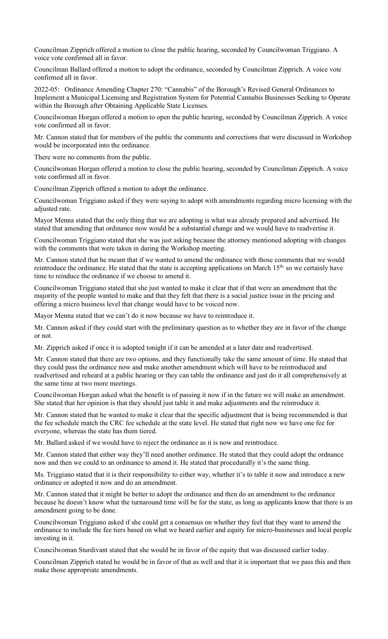Councilman Zipprich offered a motion to close the public hearing, seconded by Councilwoman Triggiano. A voice vote confirmed all in favor.

Councilman Ballard offered a motion to adopt the ordinance, seconded by Councilman Zipprich. A voice vote confirmed all in favor.

2022-05: Ordinance Amending Chapter 270: "Cannabis" of the Borough's Revised General Ordinances to Implement a Municipal Licensing and Registration System for Potential Cannabis Businesses Seeking to Operate within the Borough after Obtaining Applicable State Licenses.

Councilwoman Horgan offered a motion to open the public hearing, seconded by Councilman Zipprich. A voice vote confirmed all in favor.

Mr. Cannon stated that for members of the public the comments and corrections that were discussed in Workshop would be incorporated into the ordinance.

There were no comments from the public.

Councilwoman Horgan offered a motion to close the public hearing, seconded by Councilman Zipprich. A voice vote confirmed all in favor.

Councilman Zipprich offered a motion to adopt the ordinance.

Councilwoman Triggiano asked if they were saying to adopt with amendments regarding micro licensing with the adjusted rate.

Mayor Menna stated that the only thing that we are adopting is what was already prepared and advertised. He stated that amending that ordinance now would be a substantial change and we would have to readvertise it.

Councilwoman Triggiano stated that she was just asking because the attorney mentioned adopting with changes with the comments that were taken in during the Workshop meeting.

Mr. Cannon stated that he meant that if we wanted to amend the ordinance with those comments that we would reintroduce the ordinance. He stated that the state is accepting applications on March 15<sup>th,</sup> so we certainly have time to reinduce the ordinance if we choose to amend it.

Councilwoman Triggiano stated that she just wanted to make it clear that if that were an amendment that the majority of the people wanted to make and that they felt that there is a social justice issue in the pricing and offering a micro business level that change would have to be voiced now.

Mayor Menna stated that we can't do it now because we have to reintroduce it.

Mr. Cannon asked if they could start with the preliminary question as to whether they are in favor of the change or not.

Mr. Zipprich asked if once it is adopted tonight if it can be amended at a later date and readvertised.

Mr. Cannon stated that there are two options, and they functionally take the same amount of time. He stated that they could pass the ordinance now and make another amendment which will have to be reintroduced and readvertised and reheard at a public hearing or they can table the ordinance and just do it all comprehensively at the same time at two more meetings.

Councilwoman Horgan asked what the benefit is of passing it now if in the future we will make an amendment. She stated that her opinion is that they should just table it and make adjustments and the reintroduce it.

Mr. Cannon stated that he wanted to make it clear that the specific adjustment that is being recommended is that the fee schedule match the CRC fee schedule at the state level. He stated that right now we have one fee for everyone, whereas the state has them tiered.

Mr. Ballard asked if we would have to reject the ordinance as it is now and reintroduce.

Mr. Cannon stated that either way they'll need another ordinance. He stated that they could adopt the ordnance now and then we could to an ordinance to amend it. He stated that procedurally it's the same thing.

Ms. Triggiano stated that it is their responsibility to either way, whether it's to table it now and introduce a new ordinance or adopted it now and do an amendment.

Mr. Cannon stated that it might be better to adopt the ordinance and then do an amendment to the ordinance because he doesn't know what the turnaround time will be for the state, as long as applicants know that there is an amendment going to be done.

Councilwoman Triggiano asked if she could get a consensus on whether they feel that they want to amend the ordinance to include the fee tiers based on what we heard earlier and equity for micro-businesses and local people investing in it.

Councilwoman Sturdivant stated that she would be in favor of the equity that was discussed earlier today.

Councilman Zipprich stated he would be in favor of that as well and that it is important that we pass this and then make those appropriate amendments.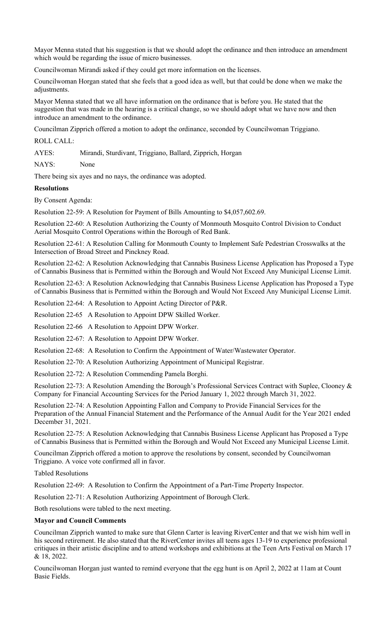Mayor Menna stated that his suggestion is that we should adopt the ordinance and then introduce an amendment which would be regarding the issue of micro businesses.

Councilwoman Mirandi asked if they could get more information on the licenses.

Councilwoman Horgan stated that she feels that a good idea as well, but that could be done when we make the adjustments.

Mayor Menna stated that we all have information on the ordinance that is before you. He stated that the suggestion that was made in the hearing is a critical change, so we should adopt what we have now and then introduce an amendment to the ordinance.

Councilman Zipprich offered a motion to adopt the ordinance, seconded by Councilwoman Triggiano.

ROLL CALL:

AYES: Mirandi, Sturdivant, Triggiano, Ballard, Zipprich, Horgan

NAYS: None

There being six ayes and no nays, the ordinance was adopted.

#### **Resolutions**

By Consent Agenda:

Resolution 22-59: A Resolution for Payment of Bills Amounting to \$4,057,602.69.

Resolution 22-60: A Resolution Authorizing the County of Monmouth Mosquito Control Division to Conduct Aerial Mosquito Control Operations within the Borough of Red Bank.

Resolution 22-61: A Resolution Calling for Monmouth County to Implement Safe Pedestrian Crosswalks at the Intersection of Broad Street and Pinckney Road.

Resolution 22-62: A Resolution Acknowledging that Cannabis Business License Application has Proposed a Type of Cannabis Business that is Permitted within the Borough and Would Not Exceed Any Municipal License Limit.

Resolution 22-63: A Resolution Acknowledging that Cannabis Business License Application has Proposed a Type of Cannabis Business that is Permitted within the Borough and Would Not Exceed Any Municipal License Limit.

Resolution 22-64: A Resolution to Appoint Acting Director of P&R.

Resolution 22-65 A Resolution to Appoint DPW Skilled Worker.

Resolution 22-66 A Resolution to Appoint DPW Worker.

Resolution 22-67: A Resolution to Appoint DPW Worker.

Resolution 22-68: A Resolution to Confirm the Appointment of Water/Wastewater Operator.

Resolution 22-70: A Resolution Authorizing Appointment of Municipal Registrar.

Resolution 22-72: A Resolution Commending Pamela Borghi.

Resolution 22-73: A Resolution Amending the Borough's Professional Services Contract with Suplee, Clooney & Company for Financial Accounting Services for the Period January 1, 2022 through March 31, 2022.

Resolution 22-74: A Resolution Appointing Fallon and Company to Provide Financial Services for the Preparation of the Annual Financial Statement and the Performance of the Annual Audit for the Year 2021 ended December 31, 2021.

Resolution 22-75: A Resolution Acknowledging that Cannabis Business License Applicant has Proposed a Type of Cannabis Business that is Permitted within the Borough and Would Not Exceed any Municipal License Limit.

Councilman Zipprich offered a motion to approve the resolutions by consent, seconded by Councilwoman Triggiano. A voice vote confirmed all in favor.

Tabled Resolutions

Resolution 22-69: A Resolution to Confirm the Appointment of a Part-Time Property Inspector.

Resolution 22-71: A Resolution Authorizing Appointment of Borough Clerk.

Both resolutions were tabled to the next meeting.

#### **Mayor and Council Comments**

Councilman Zipprich wanted to make sure that Glenn Carter is leaving RiverCenter and that we wish him well in his second retirement. He also stated that the RiverCenter invites all teens ages 13-19 to experience professional critiques in their artistic discipline and to attend workshops and exhibitions at the Teen Arts Festival on March 17 & 18, 2022.

Councilwoman Horgan just wanted to remind everyone that the egg hunt is on April 2, 2022 at 11am at Count Basie Fields.